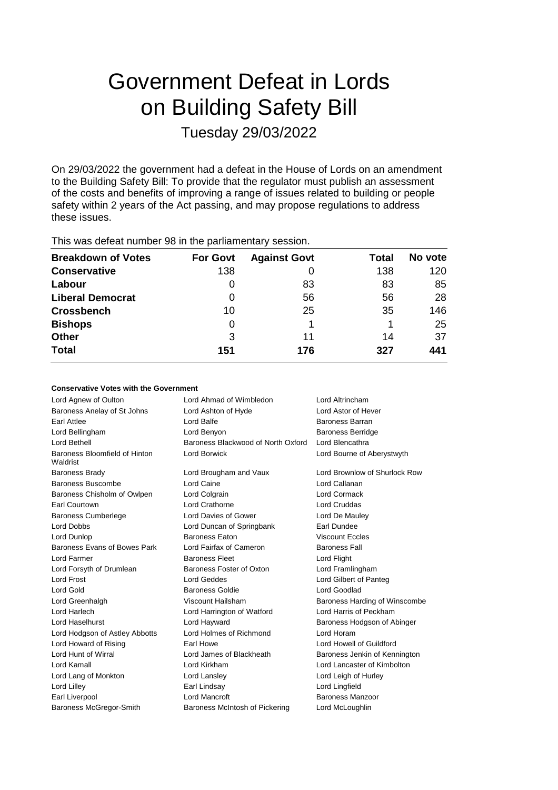# Government Defeat in Lords on Building Safety Bill Tuesday 29/03/2022

On 29/03/2022 the government had a defeat in the House of Lords on an amendment to the Building Safety Bill: To provide that the regulator must publish an assessment of the costs and benefits of improving a range of issues related to building or people safety within 2 years of the Act passing, and may propose regulations to address these issues.

This was defeat number 98 in the parliamentary session.

| <b>Breakdown of Votes</b> | <b>For Govt</b> | <b>Against Govt</b> | Total | No vote |
|---------------------------|-----------------|---------------------|-------|---------|
| <b>Conservative</b>       | 138             |                     | 138   | 120     |
| Labour                    | O               | 83                  | 83    | 85      |
| <b>Liberal Democrat</b>   | 0               | 56                  | 56    | 28      |
| <b>Crossbench</b>         | 10              | 25                  | 35    | 146     |
| <b>Bishops</b>            | 0               |                     |       | 25      |
| <b>Other</b>              | 3               | 11                  | 14    | 37      |
| <b>Total</b>              | 151             | 176                 | 327   | 441     |

## **Conservative Votes with the Government**

| Lord Agnew of Oulton                      | Lord Ahmad of Wimbledon                               | Lord Altrincham               |  |
|-------------------------------------------|-------------------------------------------------------|-------------------------------|--|
| Baroness Anelay of St Johns               | Lord Ashton of Hyde                                   | Lord Astor of Hever           |  |
| Earl Attlee                               | Lord Balfe                                            | Baroness Barran               |  |
| Lord Bellingham                           | Lord Benyon                                           | <b>Baroness Berridge</b>      |  |
| Lord Bethell                              | Baroness Blackwood of North Oxford<br>Lord Blencathra |                               |  |
| Baroness Bloomfield of Hinton<br>Waldrist | <b>Lord Borwick</b>                                   | Lord Bourne of Aberystwyth    |  |
| <b>Baroness Brady</b>                     | Lord Brougham and Vaux                                | Lord Brownlow of Shurlock Row |  |
| Baroness Buscombe                         | Lord Caine                                            | Lord Callanan                 |  |
| Baroness Chisholm of Owlpen               | Lord Colgrain                                         | Lord Cormack                  |  |
| Earl Courtown                             | Lord Crathorne                                        | <b>Lord Cruddas</b>           |  |
| <b>Baroness Cumberlege</b>                | Lord Davies of Gower                                  | Lord De Mauley                |  |
| Lord Dobbs                                | Lord Duncan of Springbank                             | Earl Dundee                   |  |
| Lord Dunlop                               | <b>Baroness Eaton</b>                                 | <b>Viscount Eccles</b>        |  |
| Baroness Evans of Bowes Park              | Lord Fairfax of Cameron                               | <b>Baroness Fall</b>          |  |
| Lord Farmer                               | <b>Baroness Fleet</b>                                 | Lord Flight                   |  |
| Lord Forsyth of Drumlean                  | Baroness Foster of Oxton                              | Lord Framlingham              |  |
| Lord Frost                                | <b>Lord Geddes</b>                                    | Lord Gilbert of Panteg        |  |
| Lord Gold                                 | Baroness Goldie                                       | Lord Goodlad                  |  |
| Lord Greenhalgh                           | Viscount Hailsham                                     | Baroness Harding of Winscombe |  |
| Lord Harlech                              | Lord Harrington of Watford                            | Lord Harris of Peckham        |  |
| Lord Haselhurst                           | Lord Hayward                                          | Baroness Hodgson of Abinger   |  |
| Lord Hodgson of Astley Abbotts            | Lord Holmes of Richmond                               | Lord Horam                    |  |
| Lord Howard of Rising                     | <b>Farl Howe</b>                                      | Lord Howell of Guildford      |  |
| Lord Hunt of Wirral                       | Lord James of Blackheath                              | Baroness Jenkin of Kennington |  |
| Lord Kamall                               | Lord Kirkham                                          | Lord Lancaster of Kimbolton   |  |
| Lord Lang of Monkton                      | Lord Lansley                                          | Lord Leigh of Hurley          |  |
| Lord Lilley                               | Earl Lindsay                                          | Lord Lingfield                |  |
| Earl Liverpool                            | Lord Mancroft                                         | Baroness Manzoor              |  |
| Baroness McGregor-Smith                   | Baroness McIntosh of Pickering                        | Lord McLoughlin               |  |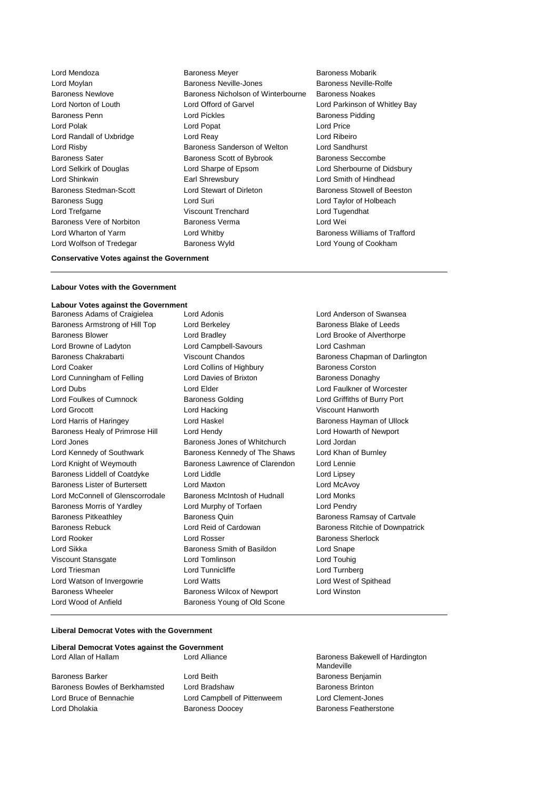Lord Wolfson of Tredegar **Baroness Wyld** Lord Young of Cookham

Lord Mendoza **Baroness Meyer** Baroness Meyer Baroness Mobarik Lord Moylan Baroness Neville-Jones Baroness Neville-Rolfe Baroness Newlove Baroness Nicholson of Winterbourne Baroness Noakes Lord Norton of Louth Lord Offord of Garvel Lord Parkinson of Whitley Bay Baroness Penn **Connect Connect Connect Lord Pickles** Baroness Pidding Baroness Pidding Lord Polak Lord Popat Lord Price Lord Randall of Uxbridge Lord Reay Lord Ribeiro Lord Risby Baroness Sanderson of Welton Lord Sandhurst Baroness Sater **Baroness Scott of Bybrook** Baroness Seccombe Lord Selkirk of Douglas Lord Sharpe of Epsom Lord Sherbourne of Didsbury Lord Shinkwin Earl Shrewsbury Lord Smith of Hindhead Baroness Stedman-Scott Lord Stewart of Dirleton Baroness Stowell of Beeston Baroness Sugg Lord Suri Lord Taylor of Holbeach Lord Trefgarne Viscount Trenchard Lord Tugendhat Baroness Vere of Norbiton Baroness Verma Constanting Lord Wei Lord Wharton of Yarm Lord Whitby Baroness Williams of Trafford

#### **Conservative Votes against the Government**

### **Labour Votes with the Government**

# **Labour Votes against the Government**

Baroness Armstrong of Hill Top Lord Berkeley **Baroness Blake of Leeds** Baroness Blake of Leeds Baroness Blower Lord Bradley Lord Brooke of Alverthorpe Lord Browne of Ladyton Lord Campbell-Savours Lord Cashman Baroness Chakrabarti Viscount Chandos Baroness Chapman of Darlington Lord Coaker Lord Collins of Highbury Baroness Corston Lord Cunningham of Felling **Lord Davies of Brixton** Baroness Donaghy Lord Dubs Lord Elder Lord Faulkner of Worcester Lord Foulkes of Cumnock Baroness Golding Lord Griffiths of Burry Port Lord Grocott Lord Hacking Viscount Hanworth Lord Harris of Haringey Lord Haskel Baroness Hayman of Ullock Baroness Healy of Primrose Hill Lord Hendy Lord Howarth of Newport Lord Jones **Baroness Jones of Whitchurch** Lord Jordan Lord Jordan Lord Kennedy of Southwark Baroness Kennedy of The Shaws Lord Khan of Burnley Lord Knight of Weymouth Baroness Lawrence of Clarendon Lord Lennie Baroness Liddell of Coatdyke Lord Liddle Lord Linesey Baroness Lister of Burtersett Lord Maxton Lord McAvoy Lord McConnell of Glenscorrodale Baroness McIntosh of Hudnall Lord Monks Baroness Morris of Yardley Lord Murphy of Torfaen Lord Pendry Baroness Pitkeathley **Baroness Quin** Baroness Quin Baroness Ramsay of Cartvale Baroness Rebuck Lord Reid of Cardowan Baroness Ritchie of Downpatrick **Lord Rooker Lord Rosser Communist Communist Communist Communist Communist Communist Communist Communist Communist Communist Communist Communist Communist Communist Communist Communist Communist Communist Communist Communi** Lord Sikka Baroness Smith of Basildon Lord Snape Viscount Stansgate Lord Tomlinson Lord Touhig Lord Triesman Lord Tunnicliffe Lord Turnberg Lord Watson of Invergowrie Lord Watts Lord West of Spithead Baroness Wheeler **Baroness Wilcox of Newport** Lord Winston Lord Wood of Anfield Baroness Young of Old Scone

Baroness Adams of Craigielea Lord Adonis Lord Anderson of Swansea

### **Liberal Democrat Votes with the Government**

#### **Liberal Democrat Votes against the Government** Lord Allan of Hallam **Lord Alliance** Lord Alliance **Baroness Bakewell of Hardington**

Baroness Bowles of Berkhamsted Lord Bradshaw Baroness Brinton Baroness Brinton Lord Bruce of Bennachie Lord Campbell of Pittenweem Lord Clement-Jones Lord Dholakia Baroness Doocey Baroness Featherstone

Baroness Barker Lord Beith Baroness Benjamin

**Mandeville**